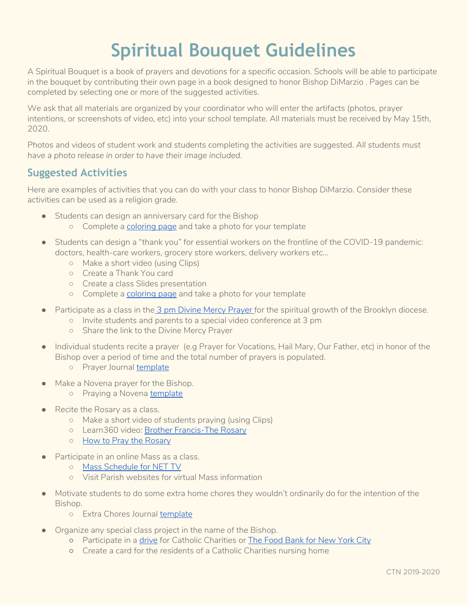# **Spiritual Bouquet Guidelines**

A Spiritual Bouquet is a book of prayers and devotions for a specific occasion. Schools will be able to participate in the bouquet by contributing their own page in a book designed to honor Bishop DiMarzio . Pages can be completed by selecting one or more of the suggested activities.

We ask that all materials are organized by your coordinator who will enter the artifacts (photos, prayer intentions, or screenshots of video, etc) into your school template. All materials must be received by May 15th, 2020.

Photos and videos of student work and students completing the activities are suggested. *All students must have a photo release in order to have their image included.*

## **Suggested Activities**

Here are examples of activities that you can do with your class to honor Bishop DiMarzio. Consider these activities can be used as a religion grade.

- Students can design an anniversary card for the Bishop
	- Complete a [coloring](https://ctnbq.org/wp-content/uploads/2020/04/COLORING-BOOK.pdf) page and take a photo for your template
- Students can design a "thank you" for essential workers on the frontline of the COVID-19 pandemic: doctors, health-care workers, grocery store workers, delivery workers etc...
	- Make a short video (using Clips)
	- Create a Thank You card
	- Create a class Slides presentation
	- Complete a [coloring](https://ctnbq.org/wp-content/uploads/2020/04/COLORING-BOOK.pdf) page and take a photo for your template
- Participate as a class in the 3 pm Divine Mercy [Prayer](https://www.thedivinemercy.org/message/devotions/pray-the-chaplet) for the spiritual growth of the Brooklyn diocese.
	- Invite students and parents to a special video conference at 3 pm
	- Share the link to the Divine Mercy Prayer
- Individual students recite a prayer (e.g Prayer for Vocations, Hail Mary, Our Father, etc) in honor of the Bishop over a period of time and the total number of prayers is populated.
	- Prayer Journal [template](https://docs.google.com/document/d/1Tozs3RRcwPj35x1HzVUueX0Uk888ItYnleSwyghoTWY/copy)
- Make a Novena prayer for the Bishop.
	- Praying a Novena [template](https://ctnbq.org/wp-content/uploads/2020/04/PrayingaNovenaWorksheet.pdf)
- Recite the Rosary as a class.
	- Make a short video of students praying (using Clips)
	- Learn360 video: Brother [Francis-The](https://learn360.infobase.com/PortalPlaylists.aspx?wID=109389&customID=46584) Rosary
	- How to Pray the [Rosary](http://www.newadvent.org/images/rosary.pdf)
- Participate in an online Mass as a class.
	- Mass [Schedule](https://netny.tv/masses/) for NET TV
	- Visit Parish websites for virtual Mass information
- Motivate students to do some extra home chores they wouldn't ordinarily do for the intention of the Bishop.
	- Extra Chores Journal [template](https://docs.google.com/document/d/1QFiKOy9ML8PUXA-zUn3aozGRrsuJE0qZdXqeGXY2pX0/copy)
- Organize any special class project in the name of the Bishop.
	- Participate in a [drive](https://www.ccbq.org/) for Catholic Charities or The Food [Bank](https://secure3.convio.net/fbnyc/site/SPageServer?pagename=virtualfooddrive) for New York City
	- o Create a card for the residents of a Catholic Charities nursing home